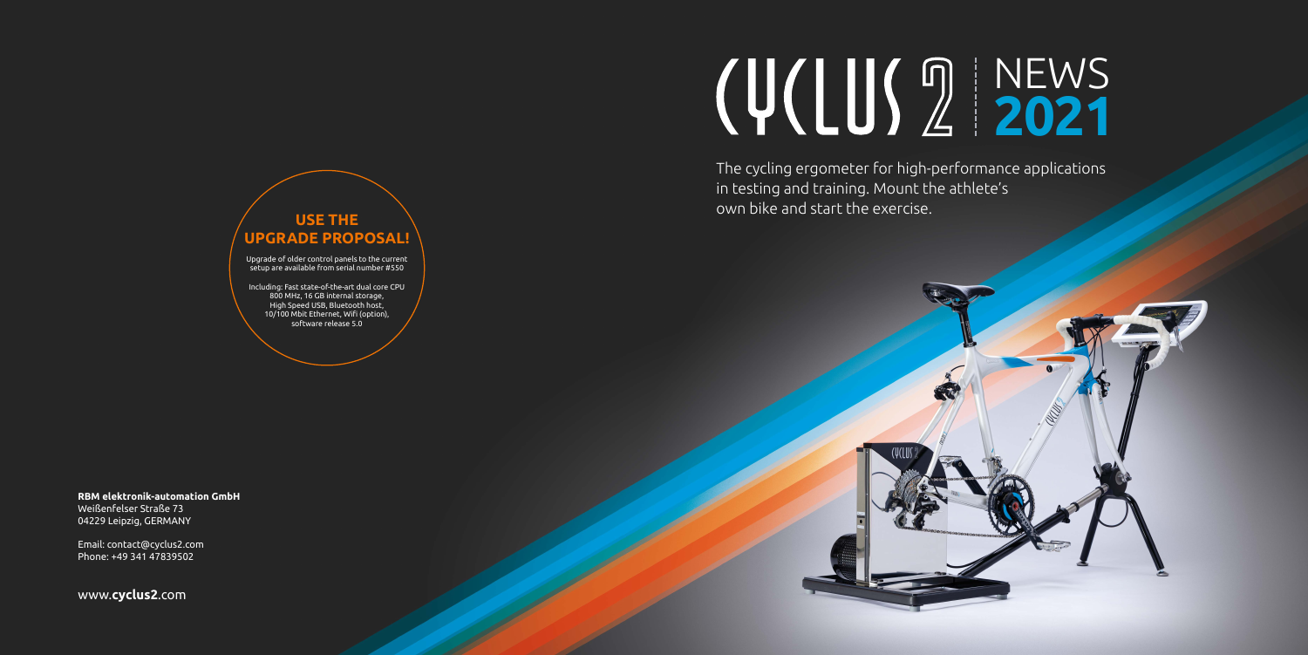The cycling ergometer for high-performance applications in testing and training. Mount the athlete's own bike and start the exercise.

# NEWS **2021**



**RBM elektronik-automation GmbH**

Weißenfelser Straße 73 04229 Leipzig, GERMANY

Email: contact@cyclus2.com Phone: +49 341 47839502

www.**cyclus2**.com

## **USE THE UPGRADE PROPOSAL!**

Upgrade of older control panels to the current setup are available from serial number #550

Including: Fast state-of-the-art dual core CPU 800 MHz, 16 GB internal storage, High Speed USB, Bluetooth host, 10/100 Mbit Ethernet, Wifi (option), software release 5.0